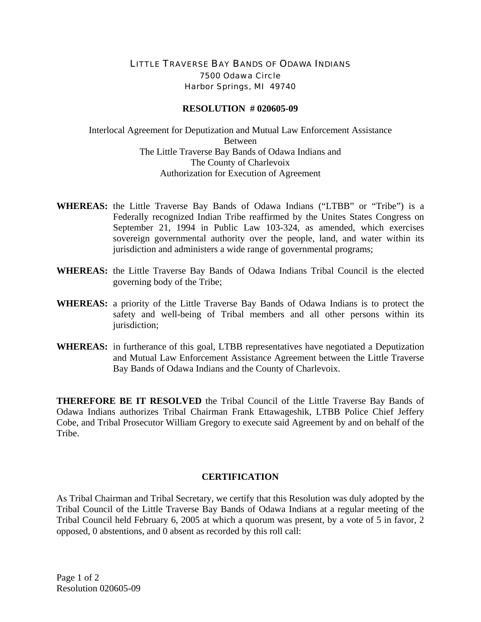## LITTLE TRAVERSE BAY BANDS OF ODAWA INDIANS 7500 Odawa Circle Harbor Springs, MI 49740

## **RESOLUTION # 020605-09**

Interlocal Agreement for Deputization and Mutual Law Enforcement Assistance Between The Little Traverse Bay Bands of Odawa Indians and The County of Charlevoix Authorization for Execution of Agreement

- **WHEREAS:** the Little Traverse Bay Bands of Odawa Indians ("LTBB" or "Tribe") is a Federally recognized Indian Tribe reaffirmed by the Unites States Congress on September 21, 1994 in Public Law 103-324, as amended, which exercises sovereign governmental authority over the people, land, and water within its jurisdiction and administers a wide range of governmental programs;
- **WHEREAS:** the Little Traverse Bay Bands of Odawa Indians Tribal Council is the elected governing body of the Tribe;
- **WHEREAS:** a priority of the Little Traverse Bay Bands of Odawa Indians is to protect the safety and well-being of Tribal members and all other persons within its jurisdiction;
- **WHEREAS:** in furtherance of this goal, LTBB representatives have negotiated a Deputization and Mutual Law Enforcement Assistance Agreement between the Little Traverse Bay Bands of Odawa Indians and the County of Charlevoix.

**THEREFORE BE IT RESOLVED** the Tribal Council of the Little Traverse Bay Bands of Odawa Indians authorizes Tribal Chairman Frank Ettawageshik, LTBB Police Chief Jeffery Cobe, and Tribal Prosecutor William Gregory to execute said Agreement by and on behalf of the Tribe.

## **CERTIFICATION**

As Tribal Chairman and Tribal Secretary, we certify that this Resolution was duly adopted by the Tribal Council of the Little Traverse Bay Bands of Odawa Indians at a regular meeting of the Tribal Council held February 6, 2005 at which a quorum was present, by a vote of 5 in favor, 2 opposed, 0 abstentions, and 0 absent as recorded by this roll call: